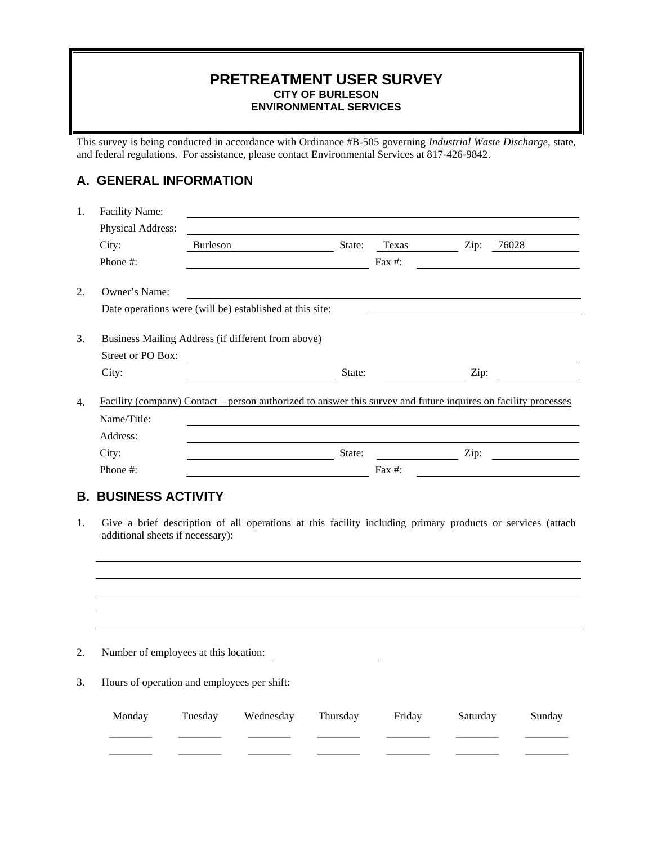#### **PRETREATMENT USER SURVEY CITY OF BURLESON ENVIRONMENTAL SERVICES**

This survey is being conducted in accordance with Ordinance #B-505 governing *Industrial Waste Discharge*, state, and federal regulations. For assistance, please contact Environmental Services at 817-426-9842.

## **A. GENERAL INFORMATION**

| 1. | Facility Name:<br>Physical Address:                                                                                                            |          |                                               |          |                                                     |          |        |  |
|----|------------------------------------------------------------------------------------------------------------------------------------------------|----------|-----------------------------------------------|----------|-----------------------------------------------------|----------|--------|--|
|    | City:                                                                                                                                          | Burleson |                                               |          | State: Texas Zip: 76028                             |          |        |  |
|    | Phone #:                                                                                                                                       |          |                                               |          | Fax $#$ :                                           |          |        |  |
| 2. | Owner's Name:                                                                                                                                  |          |                                               |          |                                                     |          |        |  |
|    | Date operations were (will be) established at this site:                                                                                       |          |                                               |          |                                                     |          |        |  |
| 3. | Business Mailing Address (if different from above)                                                                                             |          |                                               |          |                                                     |          |        |  |
|    | Street or PO Box:                                                                                                                              |          | <u> 1980 - Jan Samuel Barbara, margaret e</u> |          |                                                     |          |        |  |
|    | City:                                                                                                                                          |          |                                               | State:   | <u> 1990 - Johann Barbara, politik eta politika</u> |          |        |  |
| 4. | Facility (company) Contact – person authorized to answer this survey and future inquires on facility processes                                 |          |                                               |          |                                                     |          |        |  |
|    | Name/Title:                                                                                                                                    |          |                                               |          |                                                     |          |        |  |
|    | Address:                                                                                                                                       |          |                                               |          |                                                     |          |        |  |
|    | City:                                                                                                                                          |          | State:                                        |          |                                                     |          |        |  |
|    | Phone #:                                                                                                                                       |          |                                               |          | Fax $#$ :                                           |          |        |  |
|    | <b>B. BUSINESS ACTIVITY</b>                                                                                                                    |          |                                               |          |                                                     |          |        |  |
| 1. | Give a brief description of all operations at this facility including primary products or services (attach<br>additional sheets if necessary): |          |                                               |          |                                                     |          |        |  |
|    |                                                                                                                                                |          |                                               |          |                                                     |          |        |  |
|    |                                                                                                                                                |          |                                               |          |                                                     |          |        |  |
|    |                                                                                                                                                |          |                                               |          |                                                     |          |        |  |
|    |                                                                                                                                                |          |                                               |          |                                                     |          |        |  |
| 2. | Number of employees at this location:                                                                                                          |          |                                               |          |                                                     |          |        |  |
| 3. | Hours of operation and employees per shift:                                                                                                    |          |                                               |          |                                                     |          |        |  |
|    | Monday                                                                                                                                         | Tuesday  | Wednesday                                     | Thursday | Friday                                              | Saturday | Sunday |  |

\_\_\_\_\_\_\_\_ \_\_\_\_\_\_\_\_ \_\_\_\_\_\_\_\_ \_\_\_\_\_\_\_\_ \_\_\_\_\_\_\_\_ \_\_\_\_\_\_\_\_ \_\_\_\_\_\_\_\_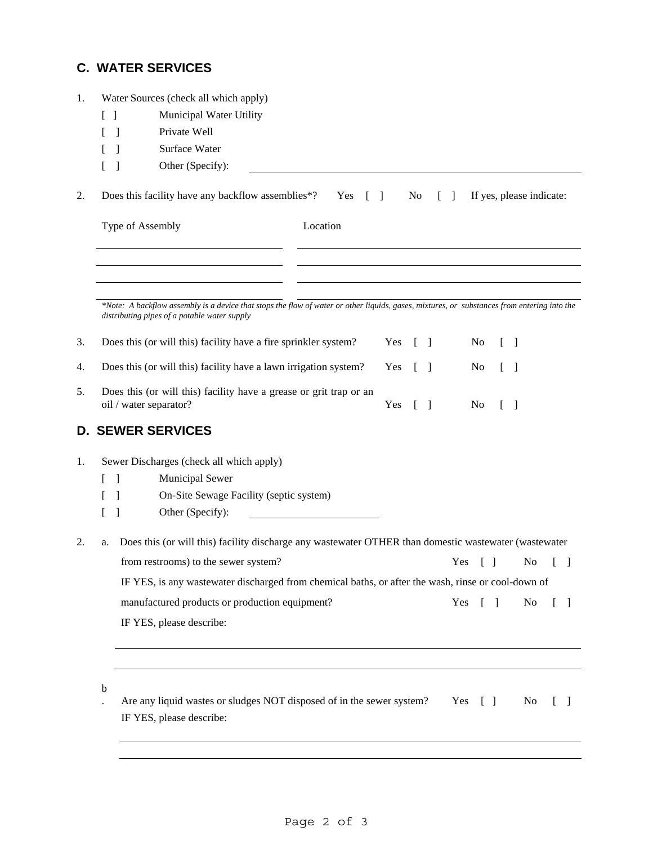# **C. WATER SERVICES**

| 1.                                                                                                                                                    |                                                                                        | Water Sources (check all which apply)                                                              |                                                                                                                                                                                             |  |                        |        |                                   |                                        |  |                          |  |    |
|-------------------------------------------------------------------------------------------------------------------------------------------------------|----------------------------------------------------------------------------------------|----------------------------------------------------------------------------------------------------|---------------------------------------------------------------------------------------------------------------------------------------------------------------------------------------------|--|------------------------|--------|-----------------------------------|----------------------------------------|--|--------------------------|--|----|
|                                                                                                                                                       |                                                                                        | Municipal Water Utility<br>-1                                                                      |                                                                                                                                                                                             |  |                        |        |                                   |                                        |  |                          |  |    |
|                                                                                                                                                       |                                                                                        | Private Well<br>1                                                                                  |                                                                                                                                                                                             |  |                        |        |                                   |                                        |  |                          |  |    |
|                                                                                                                                                       |                                                                                        |                                                                                                    | Surface Water                                                                                                                                                                               |  |                        |        |                                   |                                        |  |                          |  |    |
|                                                                                                                                                       |                                                                                        |                                                                                                    | Other (Specify):                                                                                                                                                                            |  |                        |        |                                   |                                        |  |                          |  |    |
| 2.                                                                                                                                                    |                                                                                        |                                                                                                    | Does this facility have any backflow assemblies*? Yes []                                                                                                                                    |  |                        | No     | $\begin{bmatrix} 1 \end{bmatrix}$ |                                        |  | If yes, please indicate: |  |    |
|                                                                                                                                                       | Type of Assembly                                                                       |                                                                                                    | Location                                                                                                                                                                                    |  |                        |        |                                   |                                        |  |                          |  |    |
|                                                                                                                                                       |                                                                                        |                                                                                                    | *Note: A backflow assembly is a device that stops the flow of water or other liquids, gases, mixtures, or substances from entering into the<br>distributing pipes of a potable water supply |  |                        |        |                                   |                                        |  |                          |  |    |
| 3.                                                                                                                                                    |                                                                                        |                                                                                                    | Does this (or will this) facility have a fire sprinkler system?                                                                                                                             |  | Yes                    | $\Box$ |                                   | N <sub>o</sub>                         |  | $\Box$                   |  |    |
| 4.                                                                                                                                                    | Does this (or will this) facility have a lawn irrigation system?                       |                                                                                                    |                                                                                                                                                                                             |  | Yes $\lceil \; \rceil$ |        |                                   | No                                     |  | $\Box$                   |  |    |
| Does this (or will this) facility have a grease or grit trap or an<br>5.<br>oil / water separator?<br>Yes<br>N <sub>0</sub><br>$\Box$<br>$\mathbf{1}$ |                                                                                        |                                                                                                    |                                                                                                                                                                                             |  |                        |        |                                   |                                        |  |                          |  |    |
| D.                                                                                                                                                    |                                                                                        |                                                                                                    | <b>SEWER SERVICES</b>                                                                                                                                                                       |  |                        |        |                                   |                                        |  |                          |  |    |
| 1.                                                                                                                                                    |                                                                                        |                                                                                                    | Sewer Discharges (check all which apply)                                                                                                                                                    |  |                        |        |                                   |                                        |  |                          |  |    |
|                                                                                                                                                       |                                                                                        | -1                                                                                                 | Municipal Sewer                                                                                                                                                                             |  |                        |        |                                   |                                        |  |                          |  |    |
|                                                                                                                                                       |                                                                                        |                                                                                                    | On-Site Sewage Facility (septic system)                                                                                                                                                     |  |                        |        |                                   |                                        |  |                          |  |    |
|                                                                                                                                                       |                                                                                        |                                                                                                    | Other (Specify):                                                                                                                                                                            |  |                        |        |                                   |                                        |  |                          |  |    |
| 2.                                                                                                                                                    | a.                                                                                     |                                                                                                    | Does this (or will this) facility discharge any wastewater OTHER than domestic wastewater (wastewater                                                                                       |  |                        |        |                                   |                                        |  |                          |  |    |
|                                                                                                                                                       | from restrooms) to the sewer system?<br>Yes<br>$\begin{bmatrix} 1 \end{bmatrix}$<br>No |                                                                                                    |                                                                                                                                                                                             |  |                        |        |                                   |                                        |  |                          |  |    |
|                                                                                                                                                       |                                                                                        | IF YES, is any wastewater discharged from chemical baths, or after the wash, rinse or cool-down of |                                                                                                                                                                                             |  |                        |        |                                   |                                        |  |                          |  |    |
|                                                                                                                                                       | manufactured products or production equipment?<br>Yes<br>$\mathbf{I}$<br>- 1           |                                                                                                    |                                                                                                                                                                                             |  |                        |        |                                   | N <sub>0</sub>                         |  | -1                       |  |    |
|                                                                                                                                                       |                                                                                        |                                                                                                    | IF YES, please describe:                                                                                                                                                                    |  |                        |        |                                   |                                        |  |                          |  |    |
|                                                                                                                                                       | b                                                                                      |                                                                                                    |                                                                                                                                                                                             |  |                        |        |                                   |                                        |  |                          |  |    |
|                                                                                                                                                       |                                                                                        |                                                                                                    | Are any liquid wastes or sludges NOT disposed of in the sewer system?<br>IF YES, please describe:                                                                                           |  |                        |        |                                   | Yes<br>$\begin{bmatrix} \end{bmatrix}$ |  | No                       |  | -1 |